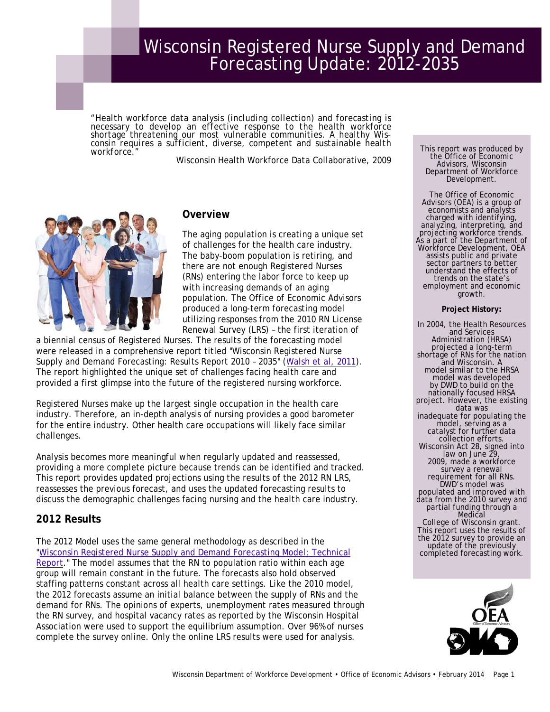# Wisconsin Registered Nurse Supply and Demand Forecasting Update: 2012-2035

"Health workforce data analysis (including collection) and forecasting is necessary to develop an effective response to the health workforce shortage threatening our most vulnerable communities. A healthy Wisconsin require *workforce."* 

Wisconsin Health Workforce Data Collaborative, 2009



### **Overview**

The aging population is creating a unique set of challenges for the health care industry. The baby-boom population is retiring, and there are not enough Registered Nurses (RNs) entering the labor force to keep up with increasing demands of an aging population. The Office of Economic Advisors produced a long-term forecasting model utilizing responses from the 2010 RN License Renewal Survey (LRS) – the first iteration of

a biennial census of Registered Nurses. The results of the forecasting model were released in a comprehensive report titled "Wisconsin Registered Nurse Supply and Demand Forecasting: Results Report 2010 – 2035" ([Walsh et al, 2011](http://worknet.wisconsin.gov/worknet_info/projects/rn_forecasting/results_report.pdf)). The report highlighted the unique set of challenges facing health care and provided a first glimpse into the future of the registered nursing workforce.

Registered Nurses make up the largest single occupation in the health care industry. Therefore, an in-depth analysis of nursing provides a good barometer for the entire industry. Other health care occupations will likely face similar challenges.

Analysis becomes more meaningful when regularly updated and reassessed, providing a more complete picture because trends can be identified and tracked. This report provides updated projections using the results of the 2012 RN LRS, reassesses the previous forecast, and uses the updated forecasting results to discuss the demographic challenges facing nursing and the health care industry.

# **2012 Results**

The 2012 Model uses the same general methodology as described in the "[Wisconsin Registered Nurse Supply and Demand Forecasting Model: Technical](http://worknet.wisconsin.gov/worknet_info/projects/rn_forecasting/rn_technical_rpt.pdf)  [Report.](http://worknet.wisconsin.gov/worknet_info/projects/rn_forecasting/rn_technical_rpt.pdf)" The model assumes that the RN to population ratio within each age group will remain constant in the future. The forecasts also hold observed staffing patterns constant across all health care settings. Like the 2010 model, the 2012 forecasts assume an initial balance between the supply of RNs and the demand for RNs. The opinions of experts, unemployment rates measured through the RN survey, and hospital vacancy rates as reported by the Wisconsin Hospital Association were used to support the equilibrium assumption. Over 96% of nurses complete the survey online. Only the online LRS results were used for analysis.

This report was produced by the Office of Economic Advisors, Wisconsin Department of Workforce Development.

The Office of Economic Advisors (OEA) is a group of economists and analysts charged with identifying, analyzing, interpreting, and projecting workforce trends. As a part of the Department of Workforce Development, OEA assists public and private sector partners to better understand the effects of trends on the state's employment and economic growth.

#### **Project History:**

 populated and improved with In 2004, the Health Resources and Services Administration (HRSA) projected a long-term shortage of RNs for the nation and Wisconsin. A model similar to the HRSA model was developed by DWD to build on the<br>nationally focused HRSA project. However, the existing<br>data was inadequate for populating the model, serving as a catalyst for further data collection efforts. Wisconsin Act 28, signed into<br>law on June 29, 2009, made a workforce requirement for all RNs. DWD's model was data from the 2010 survey and partial funding through a Medical College of Wisconsin grant. This report uses the results of<br>the 2012 survey to provide an update of the previously<br>completed forecasting work.

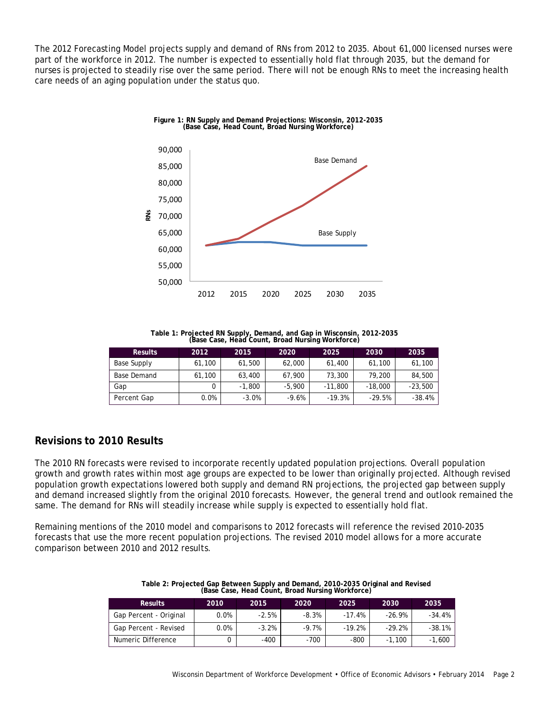The 2012 Forecasting Model projects supply and demand of RNs from 2012 to 2035. About 61,000 licensed nurses were part of the workforce in 2012. The number is expected to essentially hold flat through 2035, but the demand for nurses is projected to steadily rise over the same period. There will not be enough RNs to meet the increasing health care needs of an aging population under the status quo.



**Table 1: Projected RN Supply, Demand, and Gap in Wisconsin, 2012-2035 (Base Case, Head Count, Broad Nursing Workforce)** 

| <b>Results</b> | 2012   | 2015     | 2020     | 2025      | 2030      | 2035      |
|----------------|--------|----------|----------|-----------|-----------|-----------|
| Base Supply    | 61,100 | 61,500   | 62,000   | 61,400    | 61,100    | 61,100    |
| Base Demand    | 61.100 | 63,400   | 67.900   | 73,300    | 79.200    | 84,500    |
| Gap            |        | $-1.800$ | $-5.900$ | $-11.800$ | $-18.000$ | $-23.500$ |
| Percent Gap    | 0.0%   | $-3.0%$  | $-9.6%$  | $-19.3%$  | $-29.5%$  | $-38.4%$  |

# **Revisions to 2010 Results**

The 2010 RN forecasts were revised to incorporate recently updated population projections. Overall population growth and growth rates within most age groups are expected to be lower than originally projected. Although revised population growth expectations lowered both supply and demand RN projections, the projected gap between supply and demand increased slightly from the original 2010 forecasts. However, the general trend and outlook remained the same. The demand for RNs will steadily increase while supply is expected to essentially hold flat.

Remaining mentions of the 2010 model and comparisons to 2012 forecasts will reference the revised 2010-2035 forecasts that use the more recent population projections. The revised 2010 model allows for a more accurate comparison between 2010 and 2012 results.

|                        |      |         | (base case, rieau courit, broad Nursing Workforce) |          |          |          |
|------------------------|------|---------|----------------------------------------------------|----------|----------|----------|
| <b>Results</b>         | 2010 | 2015    | 2020                                               | 2025     | 2030     | 2035     |
| Gap Percent - Original | 0.0% | $-2.5%$ | -8.3%                                              | $-17.4%$ | $-26.9%$ | $-34.4%$ |
| Gap Percent - Revised  | 0.0% | $-3.2%$ | $-9.7%$                                            | $-19.2%$ | $-29.2%$ | $-38.1%$ |
| Numeric Difference     |      | $-400$  | $-700$                                             | -800     | $-1.100$ | $-1,600$ |

| Table 2: Projected Gap Between Supply and Demand, 2010-2035 Original and Revised |  |
|----------------------------------------------------------------------------------|--|
| (Base Case, Head Count, Broad Nursing Workforce)                                 |  |